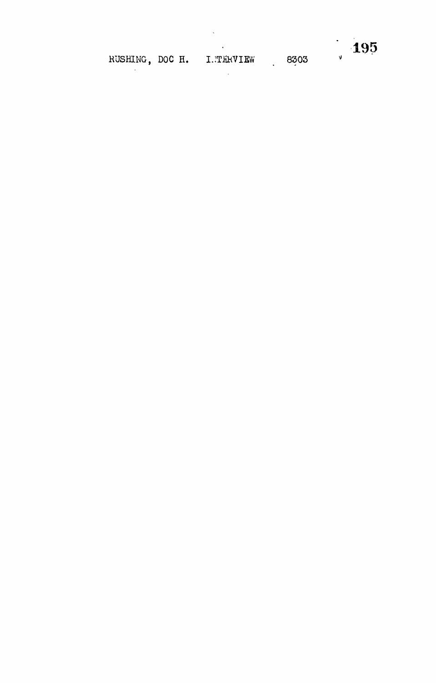|  |                           |      | $-195$ |
|--|---------------------------|------|--------|
|  | RUSHING, DOC H. I.THRVIEW | 8303 |        |
|  |                           |      |        |

 $\label{eq:2.1} \frac{1}{2} \sum_{i=1}^n \frac{1}{2} \sum_{j=1}^n \frac{1}{2} \sum_{j=1}^n \frac{1}{2} \sum_{j=1}^n \frac{1}{2} \sum_{j=1}^n \frac{1}{2} \sum_{j=1}^n \frac{1}{2} \sum_{j=1}^n \frac{1}{2} \sum_{j=1}^n \frac{1}{2} \sum_{j=1}^n \frac{1}{2} \sum_{j=1}^n \frac{1}{2} \sum_{j=1}^n \frac{1}{2} \sum_{j=1}^n \frac{1}{2} \sum_{j=1}^n \frac{$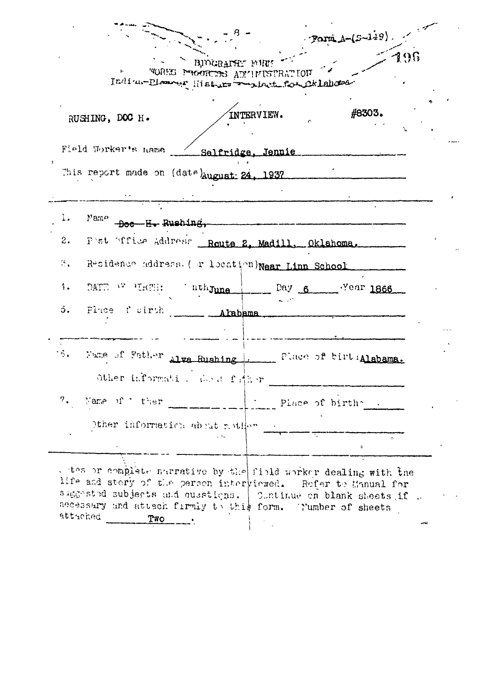|                             | RUSHING, DOC H.                                   | <b>INTERVIEW.</b> | #8303.                                     |  |
|-----------------------------|---------------------------------------------------|-------------------|--------------------------------------------|--|
|                             | Field Worker's name                               | Selfridge, Jennie |                                            |  |
|                             | This report made on (date) August: 24, 1937       |                   |                                            |  |
|                             |                                                   |                   |                                            |  |
| I.                          | $\n  n$ am $\sim$<br>Doc-H. Rushing,              |                   |                                            |  |
| 2.                          | Post office Address Route 2. Madill, Oklahoma.    |                   |                                            |  |
| $\mathbb{R}_{+}$            | Residence address. (or location) Near Linn School |                   |                                            |  |
| 1.                          | DATE AN MERCHI I uthJune                          |                   | $Day \quad 6 \quad \text{Year} \quad 1866$ |  |
| $\mathbf{5.}$               | Fluce fourth _____ Alabama                        |                   |                                            |  |
|                             |                                                   |                   |                                            |  |
| $\mathcal{L}_{\mathcal{D}}$ | Fame of Father Alva Rushing                       |                   | Place of birtiAlabama.                     |  |
|                             | Other information des doffice                     |                   |                                            |  |
| 7.                          | Name of 'ther                                     |                   |                                            |  |
|                             | Other information about nother                    |                   |                                            |  |
|                             |                                                   |                   | ٥                                          |  |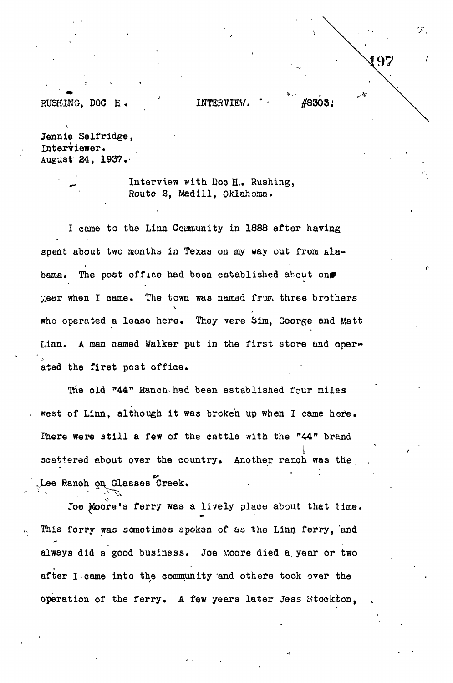RUSHING, DOC H. INTERVIEW. ' #8303:

 $\widetilde{\mathcal{F}}$  .

10'2

Jennie Selfridge, Interviewer. August 24, 1937.-

..Lee Ranch group is a strong strong creek.<br>Lee Ranch group is a strong strong strong strong strong strong strong strong strong strong strong strong stron

Interview with Doc EL. Rushing, Route 2, Madill, Oklahoma.

I came to the Linn Community in 1888 after having spent about two months in Texas on my way out from alabama. The post office had been established about on# year when I came. The town was named from three brothers who operated a lease here. They were Sim, George and Matt Linn. A man named Walker put in the first store and operated the first post office.

The old "44" Banch> had been established four miles west of Linn, although it was broken up when I came here. There were still a few of the cattle with the "44" brand i scattered about over the country. Another ranch was the scattered about over the country. Another ranch was the

Joe Moore's ferry was a lively place about that time.  $\mathcal{A}=\mathcal{A}$  is the ferry was a lively place about that time. The time  $\mathcal{A}=\mathcal{A}$ This ferry was sometimes spoken of as the Linn ferry, and This ferry was sometimes spoken of as the Linn ferry, and  $\Delta$  the Linn ferry, and  $\Delta$ always did a good business. Joe Moore died a year or two always did a good business. Joe Moore did a good business. Joe Moore did a.  $\mathcal{A}$ after I came into the community and others took over the after I can expect into the community and others took over the community and others the community and others the community and others the community and others the community and others the community and others the communit operation of the ferry. A few years later Jess Stockton.

operation of the ferry. A few years later  $\mathcal{A}$  few years later  $\mathcal{A}$  few years  $\mathcal{A}$